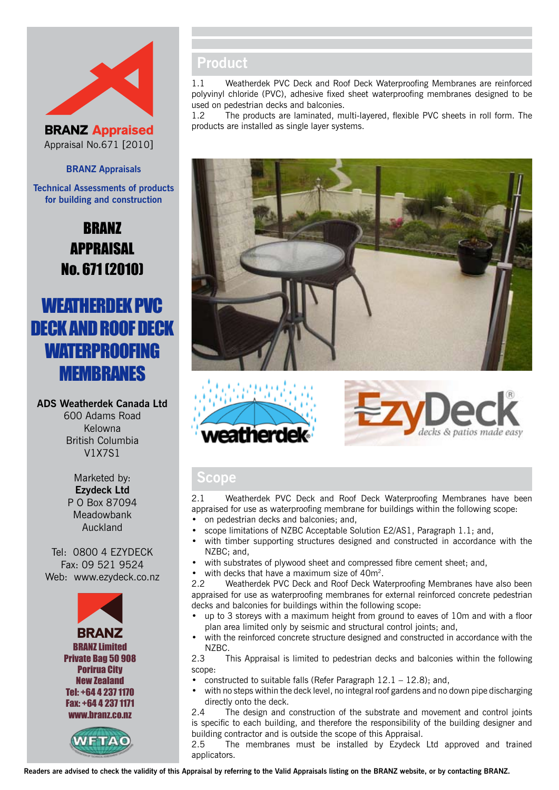



#### **BRANZ Appraisals**

**Technical Assessments of products for building and construction**

# BRANZ APPRAISAL No. 671 (2010)

# Weatherdek PVC DECK AND ROOF DECK **WATERPROOFING MEMBRANES**

**ADS Weatherdek Canada Ltd** 600 Adams Road Kelowna British Columbia V1X7S1

> Marketed by: **Ezydeck Ltd** P O Box 87094 Meadowbank Auckland

Tel: 0800 4 EZYDECK Fax: 09 521 9524 Web: www.ezydeck.co.nz





## **Product**

1.1 Weatherdek PVC Deck and Roof Deck Waterproofing Membranes are reinforced polyvinyl chloride (PVC), adhesive fixed sheet waterproofing membranes designed to be used on pedestrian decks and balconies.

1.2 The products are laminated, multi-layered, flexible PVC sheets in roll form. The products are installed as single layer systems.







### **Scope**

2.1 Weatherdek PVC Deck and Roof Deck Waterproofing Membranes have been appraised for use as waterproofing membrane for buildings within the following scope: on pedestrian decks and balconies; and,

- scope limitations of NZBC Acceptable Solution E2/AS1, Paragraph 1.1; and,
- with timber supporting structures designed and constructed in accordance with the NZBC; and,
- with substrates of plywood sheet and compressed fibre cement sheet; and,
- with decks that have a maximum size of  $40m^2$ .

2.2 Weatherdek PVC Deck and Roof Deck Waterproofing Membranes have also been appraised for use as waterproofing membranes for external reinforced concrete pedestrian decks and balconies for buildings within the following scope:

- up to 3 storeys with a maximum height from ground to eaves of 10m and with a floor plan area limited only by seismic and structural control joints; and,
- with the reinforced concrete structure designed and constructed in accordance with the NZBC.

2.3 This Appraisal is limited to pedestrian decks and balconies within the following scope:

- constructed to suitable falls (Refer Paragraph  $12.1 12.8$ ); and,
- with no steps within the deck level, no integral roof gardens and no down pipe discharging directly onto the deck.

2.4 The design and construction of the substrate and movement and control joints is specific to each building, and therefore the responsibility of the building designer and building contractor and is outside the scope of this Appraisal.

2.5 The membranes must be installed by Ezydeck Ltd approved and trained applicators.

**Readers are advised to check the validity of this Appraisal by referring to the Valid Appraisals listing on the BRANZ website, or by contacting BRANZ.**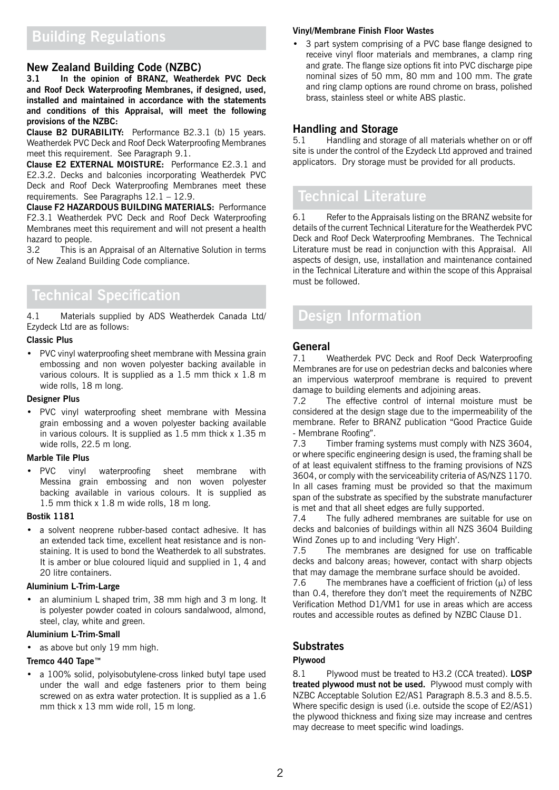# **Building Regulations**

### **New Zealand Building Code (NZBC)**

**3.1 In the opinion of BRANZ, Weatherdek PVC Deck and Roof Deck Waterproofing Membranes, if designed, used, installed and maintained in accordance with the statements and conditions of this Appraisal, will meet the following provisions of the NZBC:**

**Clause B2 DURABILITY:** Performance B2.3.1 (b) 15 years. Weatherdek PVC Deck and Roof Deck Waterproofing Membranes meet this requirement. See Paragraph 9.1.

**Clause E2 EXTERNAL MOISTURE:** Performance E2.3.1 and E2.3.2. Decks and balconies incorporating Weatherdek PVC Deck and Roof Deck Waterproofing Membranes meet these requirements. See Paragraphs 12.1 – 12.9.

**Clause F2 HAZARDOUS BUILDING MATERIALS:** Performance F2.3.1 Weatherdek PVC Deck and Roof Deck Waterproofing Membranes meet this requirement and will not present a health hazard to people.

3.2 This is an Appraisal of an Alternative Solution in terms of New Zealand Building Code compliance.

## **Technical Specification**

4.1 Materials supplied by ADS Weatherdek Canada Ltd/ Ezydeck Ltd are as follows:

#### **Classic Plus**

• PVC vinyl waterproofing sheet membrane with Messina grain embossing and non woven polyester backing available in various colours. It is supplied as a 1.5 mm thick x 1.8 m wide rolls, 18 m long.

#### **Designer Plus**

• PVC vinyl waterproofing sheet membrane with Messina grain embossing and a woven polyester backing available in various colours. It is supplied as 1.5 mm thick x 1.35 m wide rolls, 22.5 m long.

#### **Marble Tile Plus**

• PVC vinyl waterproofing sheet membrane with Messina grain embossing and non woven polyester backing available in various colours. It is supplied as 1.5 mm thick x 1.8 m wide rolls, 18 m long.

#### **Bostik 1181**

a solvent neoprene rubber-based contact adhesive. It has an extended tack time, excellent heat resistance and is nonstaining. It is used to bond the Weatherdek to all substrates. It is amber or blue coloured liquid and supplied in 1, 4 and 20 litre containers.

#### **Aluminium L-Trim-Large**

an aluminium L shaped trim, 38 mm high and 3 m long. It is polyester powder coated in colours sandalwood, almond, steel, clay, white and green.

#### **Aluminium L-Trim-Small**

as above but only 19 mm high.

#### **Tremco 440 Tape™**

a 100% solid, polyisobutylene-cross linked butyl tape used under the wall and edge fasteners prior to them being screwed on as extra water protection. It is supplied as a 1.6 mm thick x 13 mm wide roll, 15 m long.

#### **Vinyl/Membrane Finish Floor Wastes**

3 part system comprising of a PVC base flange designed to receive vinyl floor materials and membranes, a clamp ring and grate. The flange size options fit into PVC discharge pipe nominal sizes of 50 mm, 80 mm and 100 mm. The grate and ring clamp options are round chrome on brass, polished brass, stainless steel or white ABS plastic.

# **Handling and Storage**<br>5.1 Handling and stora

5.1 Handling and storage of all materials whether on or off site is under the control of the Ezydeck Ltd approved and trained applicators. Dry storage must be provided for all products.

# **Technical Literature**

6.1 Refer to the Appraisals listing on the BRANZ website for details of the current Technical Literature for the Weatherdek PVC Deck and Roof Deck Waterproofing Membranes. The Technical Literature must be read in conjunction with this Appraisal. All aspects of design, use, installation and maintenance contained in the Technical Literature and within the scope of this Appraisal must be followed.

## **Design Information**

### **General**

7.1 Weatherdek PVC Deck and Roof Deck Waterproofing Membranes are for use on pedestrian decks and balconies where an impervious waterproof membrane is required to prevent damage to building elements and adjoining areas.

7.2 The effective control of internal moisture must be considered at the design stage due to the impermeability of the membrane. Refer to BRANZ publication "Good Practice Guide - Membrane Roofing".

7.3 Timber framing systems must comply with NZS 3604, or where specific engineering design is used, the framing shall be of at least equivalent stiffness to the framing provisions of NZS 3604, or comply with the serviceability criteria of AS/NZS 1170. In all cases framing must be provided so that the maximum span of the substrate as specified by the substrate manufacturer is met and that all sheet edges are fully supported.

7.4 The fully adhered membranes are suitable for use on decks and balconies of buildings within all NZS 3604 Building Wind Zones up to and including 'Very High'.

7.5 The membranes are designed for use on trafficable decks and balcony areas; however, contact with sharp objects that may damage the membrane surface should be avoided.

7.6 The membranes have a coefficient of friction  $(\mu)$  of less than 0.4, therefore they don't meet the requirements of NZBC Verification Method D1/VM1 for use in areas which are access routes and accessible routes as defined by NZBC Clause D1.

#### **Substrates**

#### **Plywood**

8.1 Plywood must be treated to H3.2 (CCA treated). **LOSP treated plywood must not be used.** Plywood must comply with NZBC Acceptable Solution E2/AS1 Paragraph 8.5.3 and 8.5.5. Where specific design is used (i.e. outside the scope of E2/AS1) the plywood thickness and fixing size may increase and centres may decrease to meet specific wind loadings.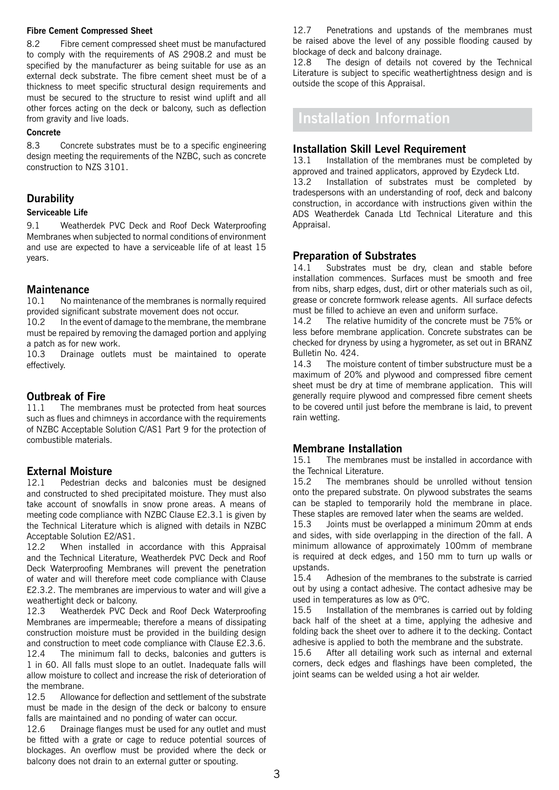#### **Fibre Cement Compressed Sheet**

8.2 Fibre cement compressed sheet must be manufactured to comply with the requirements of AS 2908.2 and must be specified by the manufacturer as being suitable for use as an external deck substrate. The fibre cement sheet must be of a thickness to meet specific structural design requirements and must be secured to the structure to resist wind uplift and all other forces acting on the deck or balcony, such as deflection from gravity and live loads.

#### **Concrete**

8.3 Concrete substrates must be to a specific engineering design meeting the requirements of the NZBC, such as concrete construction to NZS 3101.

### **Durability**

#### **Serviceable Life**

9.1 Weatherdek PVC Deck and Roof Deck Waterproofing Membranes when subjected to normal conditions of environment and use are expected to have a serviceable life of at least 15 years.

#### **Maintenance**

10.1 No maintenance of the membranes is normally required provided significant substrate movement does not occur.

10.2 In the event of damage to the membrane, the membrane must be repaired by removing the damaged portion and applying a patch as for new work.<br>10.3 Drainage outlet

Drainage outlets must be maintained to operate effectively.

#### **Outbreak of Fire**

11.1 The membranes must be protected from heat sources such as flues and chimneys in accordance with the requirements of NZBC Acceptable Solution C/AS1 Part 9 for the protection of combustible materials.

# **External Moisture**<br>12.1 **Pedestrian de**

Pedestrian decks and balconies must be designed and constructed to shed precipitated moisture. They must also take account of snowfalls in snow prone areas. A means of meeting code compliance with NZBC Clause E2.3.1 is given by the Technical Literature which is aligned with details in NZBC Acceptable Solution E2/AS1.

12.2 When installed in accordance with this Appraisal and the Technical Literature, Weatherdek PVC Deck and Roof Deck Waterproofing Membranes will prevent the penetration of water and will therefore meet code compliance with Clause E2.3.2. The membranes are impervious to water and will give a weathertight deck or balcony.

12.3 Weatherdek PVC Deck and Roof Deck Waterproofing Membranes are impermeable; therefore a means of dissipating construction moisture must be provided in the building design and construction to meet code compliance with Clause E2.3.6.

12.4 The minimum fall to decks, balconies and gutters is 1 in 60. All falls must slope to an outlet. Inadequate falls will allow moisture to collect and increase the risk of deterioration of the membrane.

12.5 Allowance for deflection and settlement of the substrate must be made in the design of the deck or balcony to ensure falls are maintained and no ponding of water can occur.

12.6 Drainage flanges must be used for any outlet and must be fitted with a grate or cage to reduce potential sources of blockages. An overflow must be provided where the deck or balcony does not drain to an external gutter or spouting.

12.7 Penetrations and upstands of the membranes must be raised above the level of any possible flooding caused by blockage of deck and balcony drainage.

12.8 The design of details not covered by the Technical Literature is subject to specific weathertightness design and is outside the scope of this Appraisal.

## **Installation Information**

#### **Installation Skill Level Requirement**

13.1 Installation of the membranes must be completed by approved and trained applicators, approved by Ezydeck Ltd. 13.2 Installation of substrates must be completed by tradespersons with an understanding of roof, deck and balcony construction, in accordance with instructions given within the ADS Weatherdek Canada Ltd Technical Literature and this Appraisal.

#### **Preparation of Substrates**

14.1 Substrates must be dry, clean and stable before installation commences. Surfaces must be smooth and free from nibs, sharp edges, dust, dirt or other materials such as oil, grease or concrete formwork release agents. All surface defects must be filled to achieve an even and uniform surface.

14.2 The relative humidity of the concrete must be 75% or less before membrane application. Concrete substrates can be checked for dryness by using a hygrometer, as set out in BRANZ Bulletin No. 424.

14.3 The moisture content of timber substructure must be a maximum of 20% and plywood and compressed fibre cement sheet must be dry at time of membrane application. This will generally require plywood and compressed fibre cement sheets to be covered until just before the membrane is laid, to prevent rain wetting.

### **Membrane Installation**

15.1 The membranes must be installed in accordance with the Technical Literature.

15.2 The membranes should be unrolled without tension onto the prepared substrate. On plywood substrates the seams can be stapled to temporarily hold the membrane in place. These staples are removed later when the seams are welded.

15.3 Joints must be overlapped a minimum 20mm at ends and sides, with side overlapping in the direction of the fall. A minimum allowance of approximately 100mm of membrane is required at deck edges, and 150 mm to turn up walls or upstands.

15.4 Adhesion of the membranes to the substrate is carried out by using a contact adhesive. The contact adhesive may be used in temperatures as low as 0ºC.

15.5 Installation of the membranes is carried out by folding back half of the sheet at a time, applying the adhesive and folding back the sheet over to adhere it to the decking. Contact adhesive is applied to both the membrane and the substrate.

15.6 After all detailing work such as internal and external corners, deck edges and flashings have been completed, the joint seams can be welded using a hot air welder.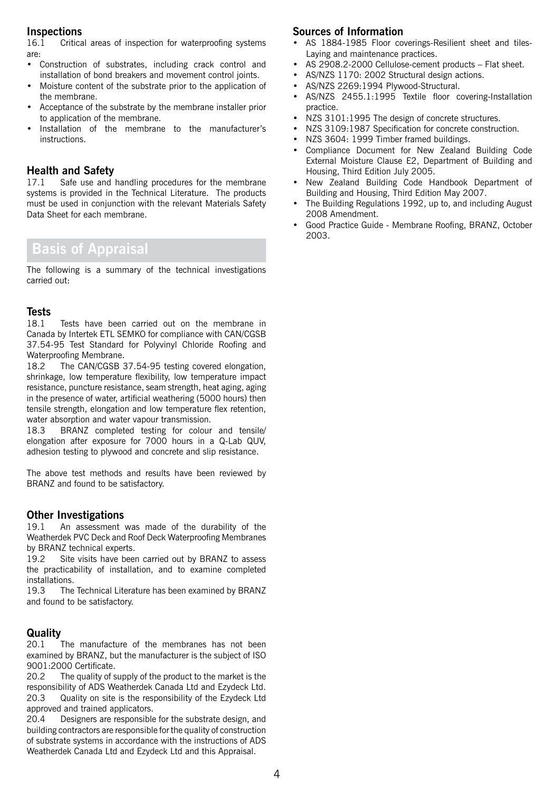### **Inspections**

16.1 Critical areas of inspection for waterproofing systems are:

- • Construction of substrates, including crack control and installation of bond breakers and movement control joints.
- • Moisture content of the substrate prior to the application of the membrane.
- • Acceptance of the substrate by the membrane installer prior to application of the membrane.
- Installation of the membrane to the manufacturer's instructions.

### **Health and Safety**

17.1 Safe use and handling procedures for the membrane systems is provided in the Technical Literature. The products must be used in conjunction with the relevant Materials Safety Data Sheet for each membrane.

# **Basis of Appraisal**

The following is a summary of the technical investigations carried out:

# **Tests**

Tests have been carried out on the membrane in Canada by Intertek ETL SEMKO for compliance with CAN/CGSB 37.54-95 Test Standard for Polyvinyl Chloride Roofing and Waterproofing Membrane.

18.2 The CAN/CGSB 37.54-95 testing covered elongation, shrinkage, low temperature flexibility, low temperature impact resistance, puncture resistance, seam strength, heat aging, aging in the presence of water, artificial weathering (5000 hours) then tensile strength, elongation and low temperature flex retention, water absorption and water vapour transmission.

18.3 BRANZ completed testing for colour and tensile/ elongation after exposure for 7000 hours in a Q-Lab QUV, adhesion testing to plywood and concrete and slip resistance.

The above test methods and results have been reviewed by BRANZ and found to be satisfactory.

#### **Other Investigations**

19.1 An assessment was made of the durability of the Weatherdek PVC Deck and Roof Deck Waterproofing Membranes by BRANZ technical experts.

19.2 Site visits have been carried out by BRANZ to assess the practicability of installation, and to examine completed installations.

19.3 The Technical Literature has been examined by BRANZ and found to be satisfactory.

#### **Quality**

20.1 The manufacture of the membranes has not been examined by BRANZ, but the manufacturer is the subject of ISO 9001:2000 Certificate.

20.2 The quality of supply of the product to the market is the responsibility of ADS Weatherdek Canada Ltd and Ezydeck Ltd. 20.3 Quality on site is the responsibility of the Ezydeck Ltd approved and trained applicators.

20.4 Designers are responsible for the substrate design, and building contractors are responsible for the quality of construction of substrate systems in accordance with the instructions of ADS Weatherdek Canada Ltd and Ezydeck Ltd and this Appraisal.

### **Sources of Information**

- AS 1884-1985 Floor coverings-Resilient sheet and tiles-Laying and maintenance practices.
- AS 2908.2-2000 Cellulose-cement products Flat sheet.
- AS/NZS 1170: 2002 Structural design actions.
- • AS/NZS 2269:1994 Plywood-Structural.
- • AS/NZS 2455.1:1995 Textile floor covering-Installation practice.
- • NZS 3101:1995 The design of concrete structures.
- • NZS 3109:1987 Specification for concrete construction.
- NZS 3604: 1999 Timber framed buildings.
- • Compliance Document for New Zealand Building Code External Moisture Clause E2, Department of Building and Housing, Third Edition July 2005.
- • New Zealand Building Code Handbook Department of Building and Housing, Third Edition May 2007.
- The Building Regulations 1992, up to, and including August 2008 Amendment.
- • Good Practice Guide Membrane Roofing, BRANZ, October 2003.